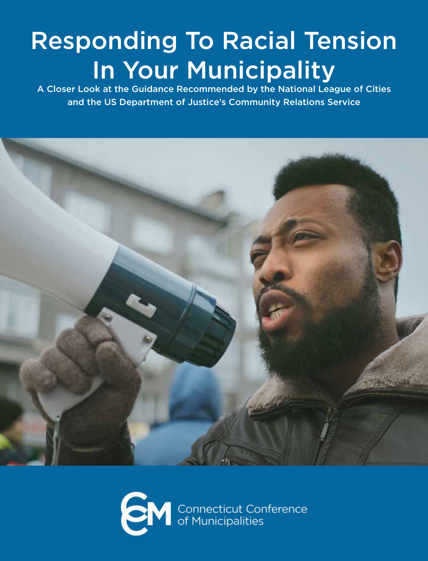# Responding To Racial Tension In Your Municipality

A Closer Look at the Guidance Recommended by the National League of Cities and the US Department of Justice's Community Relations Service



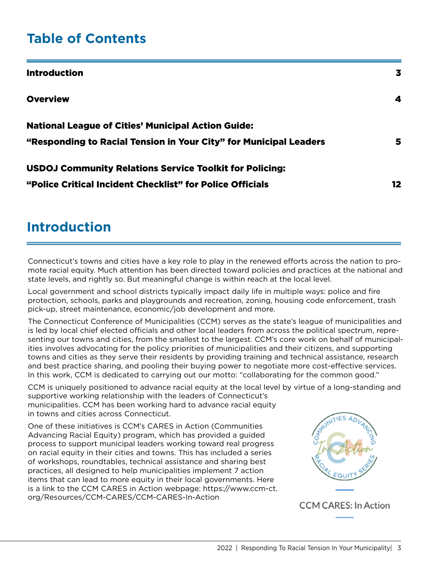### **Table of Contents**

| <b>Introduction</b>                                               | 3  |
|-------------------------------------------------------------------|----|
| <b>Overview</b>                                                   | 4  |
| <b>National League of Cities' Municipal Action Guide:</b>         |    |
| "Responding to Racial Tension in Your City" for Municipal Leaders | 5  |
| <b>USDOJ Community Relations Service Toolkit for Policing:</b>    |    |
| "Police Critical Incident Checklist" for Police Officials         | 12 |

### **Introduction**

Connecticut's towns and cities have a key role to play in the renewed efforts across the nation to promote racial equity. Much attention has been directed toward policies and practices at the national and state levels, and rightly so. But meaningful change is within reach at the local level.

Local government and school districts typically impact daily life in multiple ways: police and fire protection, schools, parks and playgrounds and recreation, zoning, housing code enforcement, trash pick-up, street maintenance, economic/job development and more.

The Connecticut Conference of Municipalities (CCM) serves as the state's league of municipalities and is led by local chief elected officials and other local leaders from across the political spectrum, representing our towns and cities, from the smallest to the largest. CCM's core work on behalf of municipalities involves advocating for the policy priorities of municipalities and their citizens, and supporting towns and cities as they serve their residents by providing training and technical assistance, research and best practice sharing, and pooling their buying power to negotiate more cost-effective services. In this work, CCM is dedicated to carrying out our motto: "collaborating for the common good."

CCM is uniquely positioned to advance racial equity at the local level by virtue of a long-standing and supportive working relationship with the leaders of Connecticut's municipalities. CCM has been working hard to advance racial equity in towns and cities across Connecticut.

One of these initiatives is CCM's CARES in Action (Communities Advancing Racial Equity) program, which has provided a guided process to support municipal leaders working toward real progress on racial equity in their cities and towns. This has included a series of workshops, roundtables, technical assistance and sharing best practices, all designed to help municipalities implement 7 action items that can lead to more equity in their local governments. Here is a link to the CCM CARES in Action webpage: https://www.ccm-ct. org/Resources/CCM-CARES/CCM-CARES-In-Action



**CCM CARES: In Action**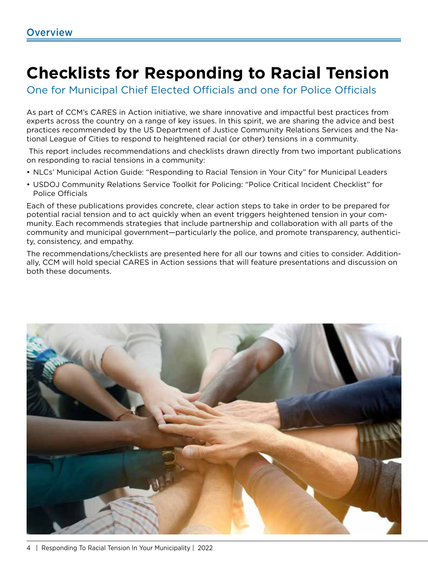## **Checklists for Responding to Racial Tension**

One for Municipal Chief Elected Officials and one for Police Officials

As part of CCM's CARES in Action initiative, we share innovative and impactful best practices from experts across the country on a range of key issues. In this spirit, we are sharing the advice and best practices recommended by the US Department of Justice Community Relations Services and the National League of Cities to respond to heightened racial (or other) tensions in a community.

 This report includes recommendations and checklists drawn directly from two important publications on responding to racial tensions in a community:

- NLCs' Municipal Action Guide: "Responding to Racial Tension in Your City" for Municipal Leaders
- USDOJ Community Relations Service Toolkit for Policing: "Police Critical Incident Checklist" for Police Officials

Each of these publications provides concrete, clear action steps to take in order to be prepared for potential racial tension and to act quickly when an event triggers heightened tension in your community. Each recommends strategies that include partnership and collaboration with all parts of the community and municipal government—particularly the police, and promote transparency, authenticity, consistency, and empathy.

The recommendations/checklists are presented here for all our towns and cities to consider. Additionally, CCM will hold special CARES in Action sessions that will feature presentations and discussion on both these documents.

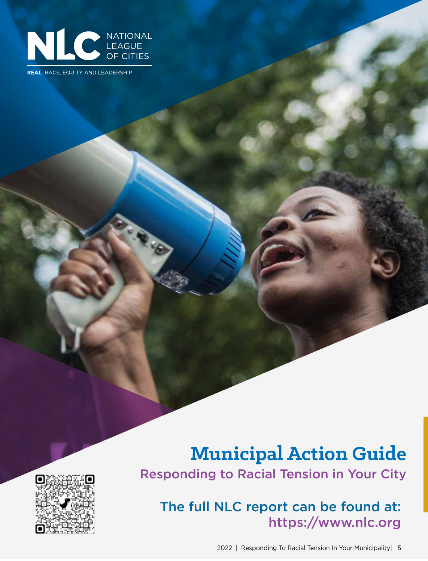

**REAL** RACE, EQUITY AND LEADERSHIP

### **Municipal Action Guide** Responding to Racial Tension in Your City



The full NLC report can be found at: https://www.nlc.org

2022 | Responding To Racial Tension In Your Municipality| 5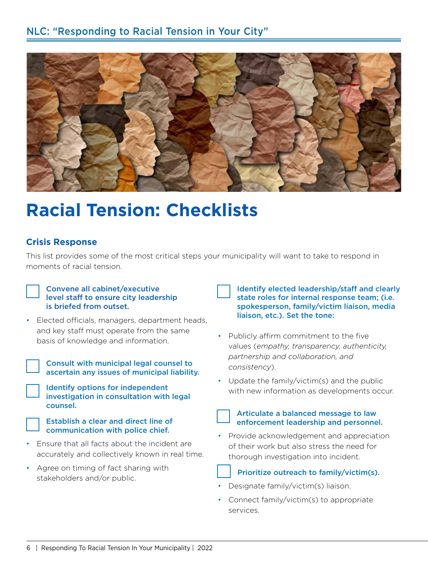

## **Racial Tension: Checklists**

#### **Crisis Response**

This list provides some of the most critical steps your municipality will want to take to respond in moments of racial tension.

#### Convene all cabinet/executive level staff to ensure city leadership is briefed from outset.

• Elected officials, managers, department heads, and key staff must operate from the same basis of knowledge and information.

Consult with municipal legal counsel to ascertain any issues of municipal liability.

Identify options for independent investigation in consultation with legal counsel.

Establish a clear and direct line of communication with police chief.

- Ensure that all facts about the incident are accurately and collectively known in real time.
- Agree on timing of fact sharing with stakeholders and/or public.

Identify elected leadership/staff and clearly state roles for internal response team; (i.e. spokesperson, family/victim liaison, media liaison, etc.). Set the tone:

- Publicly affirm commitment to the five values (*empathy, transparency, authenticity, partnership and collaboration, and consistency*).
- Update the family/victim(s) and the public with new information as developments occur.

#### Articulate a balanced message to law enforcement leadership and personnel.

• Provide acknowledgement and appreciation of their work but also stress the need for thorough investigation into incident.

#### Prioritize outreach to family/victim(s).

- Designate family/victim(s) liaison.
- Connect family/victim(s) to appropriate services.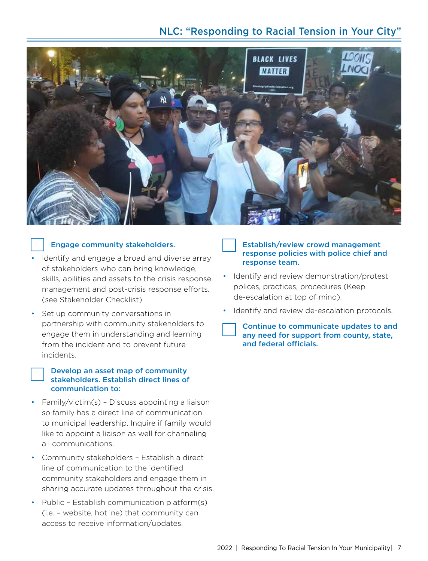### NLC: "Responding to Racial Tension in Your City"



#### Engage community stakeholders.

- Identify and engage a broad and diverse array of stakeholders who can bring knowledge, skills, abilities and assets to the crisis response management and post-crisis response efforts. (see Stakeholder Checklist)
- Set up community conversations in partnership with community stakeholders to engage them in understanding and learning from the incident and to prevent future incidents.

#### Develop an asset map of community stakeholders. Establish direct lines of communication to:

- Family/victim(s) Discuss appointing a liaison so family has a direct line of communication to municipal leadership. Inquire if family would like to appoint a liaison as well for channeling all communications.
- Community stakeholders Establish a direct line of communication to the identified community stakeholders and engage them in sharing accurate updates throughout the crisis.
- Public Establish communication platform(s) (i.e. – website, hotline) that community can access to receive information/updates.

#### Establish/review crowd management response policies with police chief and response team.

- Identify and review demonstration/protest polices, practices, procedures (Keep de-escalation at top of mind).
- Identify and review de-escalation protocols.

Continue to communicate updates to and any need for support from county, state, and federal officials.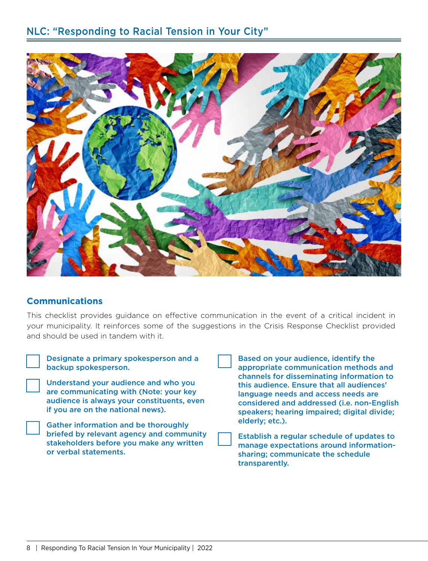

#### **Communications**

This checklist provides guidance on effective communication in the event of a critical incident in your municipality. It reinforces some of the suggestions in the Crisis Response Checklist provided and should be used in tandem with it.

| Designate a prim<br>backup spokesp |
|------------------------------------|
| <b>Understand your</b>             |

nary spokesperson and a erson.

r audience and who you are communicating with (Note: your key audience is always your constituents, even if you are on the national news).

Gather information and be thoroughly briefed by relevant agency and community stakeholders before you make any written or verbal statements.



Based on your audience, identify the appropriate communication methods and channels for disseminating information to this audience. Ensure that all audiences' language needs and access needs are considered and addressed (i.e. non-English speakers; hearing impaired; digital divide; elderly; etc.).

Establish a regular schedule of updates to manage expectations around informationsharing; communicate the schedule transparently.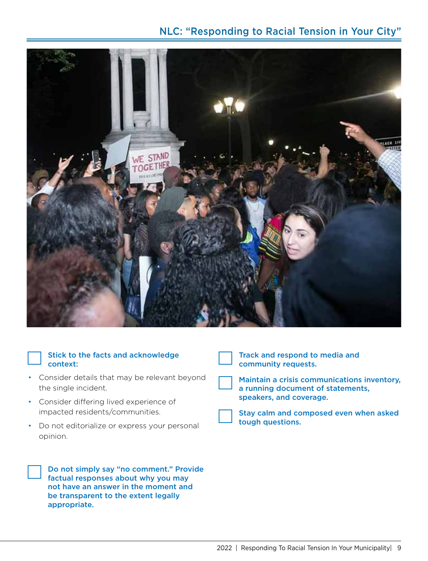#### NLC: "Responding to Racial Tension in Your City"



#### Stick to the facts and acknowledge context:

- Consider details that may be relevant beyond the single incident.
- Consider differing lived experience of impacted residents/communities.
- Do not editorialize or express your personal opinion.

Do not simply say "no comment." Provide factual responses about why you may not have an answer in the moment and be transparent to the extent legally appropriate.

Track and respond to media and community requests.



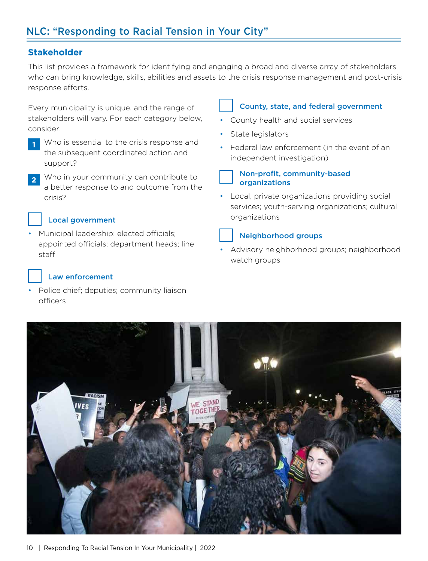#### **Stakeholder**

This list provides a framework for identifying and engaging a broad and diverse array of stakeholders who can bring knowledge, skills, abilities and assets to the crisis response management and post-crisis response efforts.

Every municipality is unique, and the range of stakeholders will vary. For each category below, consider:

- **1** Who is essential to the crisis response and the subsequent coordinated action and support?
- **<sup>2</sup>** Who in your community can contribute to a better response to and outcome from the crisis?

#### Local government

• Municipal leadership: elected officials; appointed officials; department heads; line staff

#### Law enforcement

• Police chief; deputies; community liaison officers

#### County, state, and federal government

- County health and social services
- State legislators
- Federal law enforcement (in the event of an independent investigation)



#### Non-profit, community-based organizations

• Local, private organizations providing social services; youth-serving organizations; cultural organizations

### Neighborhood groups

• Advisory neighborhood groups; neighborhood watch groups

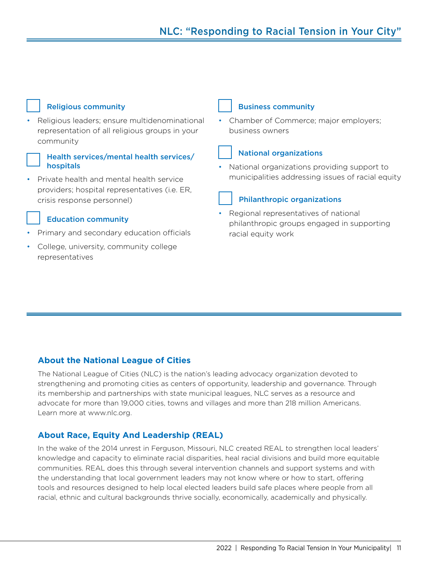#### Religious community

• Religious leaders; ensure multidenominational representation of all religious groups in your community

#### Health services/mental health services/ hospitals

• Private health and mental health service providers; hospital representatives (i.e. ER, crisis response personnel)

#### Education community

- Primary and secondary education officials
- College, university, community college representatives

#### Business community

• Chamber of Commerce; major employers; business owners

#### National organizations

• National organizations providing support to municipalities addressing issues of racial equity

#### Philanthropic organizations

• Regional representatives of national philanthropic groups engaged in supporting racial equity work

#### **About the National League of Cities**

The National League of Cities (NLC) is the nation's leading advocacy organization devoted to strengthening and promoting cities as centers of opportunity, leadership and governance. Through its membership and partnerships with state municipal leagues, NLC serves as a resource and advocate for more than 19,000 cities, towns and villages and more than 218 million Americans. Learn more at www.nlc.org.

#### **About Race, Equity And Leadership (REAL)**

In the wake of the 2014 unrest in Ferguson, Missouri, NLC created REAL to strengthen local leaders' knowledge and capacity to eliminate racial disparities, heal racial divisions and build more equitable communities. REAL does this through several intervention channels and support systems and with the understanding that local government leaders may not know where or how to start, offering tools and resources designed to help local elected leaders build safe places where people from all racial, ethnic and cultural backgrounds thrive socially, economically, academically and physically.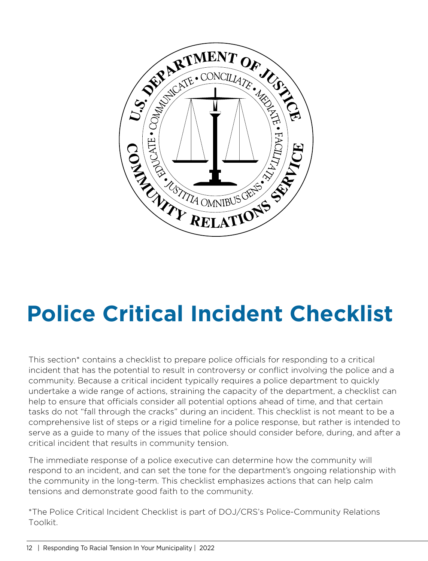

# **Police Critical Incident Checklist**

This section\* contains a checklist to prepare police officials for responding to a critical incident that has the potential to result in controversy or conflict involving the police and a community. Because a critical incident typically requires a police department to quickly undertake a wide range of actions, straining the capacity of the department, a checklist can help to ensure that officials consider all potential options ahead of time, and that certain tasks do not "fall through the cracks" during an incident. This checklist is not meant to be a comprehensive list of steps or a rigid timeline for a police response, but rather is intended to serve as a guide to many of the issues that police should consider before, during, and after a critical incident that results in community tension.

The immediate response of a police executive can determine how the community will respond to an incident, and can set the tone for the department's ongoing relationship with the community in the long-term. This checklist emphasizes actions that can help calm tensions and demonstrate good faith to the community.

\*The Police Critical Incident Checklist is part of DOJ/CRS's Police-Community Relations Toolkit.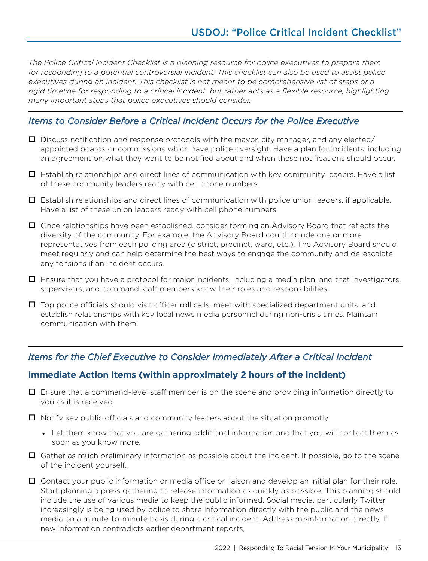*The Police Critical Incident Checklist is a planning resource for police executives to prepare them for responding to a potential controversial incident. This checklist can also be used to assist police executives during an incident. This checklist is not meant to be comprehensive list of steps or a rigid timeline for responding to a critical incident, but rather acts as a flexible resource, highlighting many important steps that police executives should consider.* 

#### *Items to Consider Before a Critical Incident Occurs for the Police Executive*

- $\Box$  Discuss notification and response protocols with the mayor, city manager, and any elected/ appointed boards or commissions which have police oversight. Have a plan for incidents, including an agreement on what they want to be notified about and when these notifications should occur.
- $\Box$  Establish relationships and direct lines of communication with key community leaders. Have a list of these community leaders ready with cell phone numbers.
- $\Box$  Establish relationships and direct lines of communication with police union leaders, if applicable. Have a list of these union leaders ready with cell phone numbers.
- $\Box$  Once relationships have been established, consider forming an Advisory Board that reflects the diversity of the community. For example, the Advisory Board could include one or more representatives from each policing area (district, precinct, ward, etc.). The Advisory Board should meet regularly and can help determine the best ways to engage the community and de-escalate any tensions if an incident occurs.
- Ensure that you have a protocol for major incidents, including a media plan, and that investigators, supervisors, and command staff members know their roles and responsibilities.
- $\Box$  Top police officials should visit officer roll calls, meet with specialized department units, and establish relationships with key local news media personnel during non-crisis times. Maintain communication with them.

#### *Items for the Chief Executive to Consider Immediately After a Critical Incident*

#### Immediate Action Items (within approximately 2 hours of the incident)

- $\Box$  Ensure that a command-level staff member is on the scene and providing information directly to you as it is received.
- $\Box$  Notify key public officials and community leaders about the situation promptly.
	- Let them know that you are gathering additional information and that you will contact them as soon as you know more.
- $\Box$  Gather as much preliminary information as possible about the incident. If possible, go to the scene of the incident yourself.
- $\Box$  Contact your public information or media office or liaison and develop an initial plan for their role. Start planning a press gathering to release information as quickly as possible. This planning should include the use of various media to keep the public informed. Social media, particularly Twitter, increasingly is being used by police to share information directly with the public and the news media on a minute-to-minute basis during a critical incident. Address misinformation directly. If new information contradicts earlier department reports,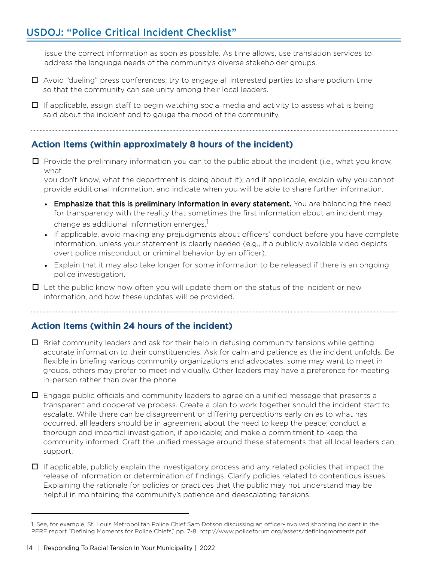### USDOJ: "Police Critical Incident Checklist"

issue the correct information as soon as possible. As time allows, use translation services to address the language needs of the community's diverse stakeholder groups.

- $\Box$  Avoid "dueling" press conferences; try to engage all interested parties to share podium time so that the community can see unity among their local leaders.
- $\Box$  If applicable, assign staff to begin watching social media and activity to assess what is being said about the incident and to gauge the mood of the community.

#### Action Items (within approximately 8 hours of the incident)

 $\Box$  Provide the preliminary information you can to the public about the incident (i.e., what you know, what

you don't know, what the department is doing about it); and if applicable, explain why you cannot provide additional information, and indicate when you will be able to share further information.

- **•** Emphasize that this is preliminary information in every statement. You are balancing the need for transparency with the reality that sometimes the first information about an incident may change as additional information emerges.<sup>1</sup>
- **•** If applicable, avoid making any prejudgments about officers' conduct before you have complete information, unless your statement is clearly needed (e.g., if a publicly available video depicts overt police misconduct or criminal behavior by an officer).
- **•** Explain that it may also take longer for some information to be released if there is an ongoing police investigation.
- $\Box$  Let the public know how often you will update them on the status of the incident or new information, and how these updates will be provided.

#### Action Items (within 24 hours of the incident)

- $\Box$  Brief community leaders and ask for their help in defusing community tensions while getting accurate information to their constituencies. Ask for calm and patience as the incident unfolds. Be flexible in briefing various community organizations and advocates; some may want to meet in groups, others may prefer to meet individually. Other leaders may have a preference for meeting in-person rather than over the phone.
- $\Box$  Engage public officials and community leaders to agree on a unified message that presents a transparent and cooperative process. Create a plan to work together should the incident start to escalate. While there can be disagreement or differing perceptions early on as to what has occurred, all leaders should be in agreement about the need to keep the peace; conduct a thorough and impartial investigation, if applicable; and make a commitment to keep the community informed. Craft the unified message around these statements that all local leaders can support.
- $\Box$  If applicable, publicly explain the investigatory process and any related policies that impact the release of information or determination of findings. Clarify policies related to contentious issues. Explaining the rationale for policies or practices that the public may not understand may be helpful in maintaining the community's patience and deescalating tensions.

<sup>1.</sup> See, for example, St. Louis Metropolitan Police Chief Sam Dotson discussing an officer-involved shooting incident in the PERF report "Defining Moments for Police Chiefs," pp. 7-8. http://www.policeforum.org/assets/definingmoments.pdf .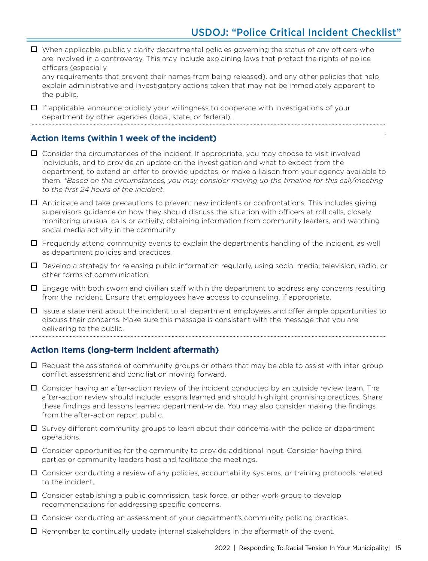$\Box$  When applicable, publicly clarify departmental policies governing the status of any officers who are involved in a controversy. This may include explaining laws that protect the rights of police officers (especially

any requirements that prevent their names from being released), and any other policies that help explain administrative and investigatory actions taken that may not be immediately apparent to the public.

 $\Box$  If applicable, announce publicly your willingness to cooperate with investigations of your department by other agencies (local, state, or federal).

#### Action Items (within 1 week of the incident)

 $\Box$  Consider the circumstances of the incident. If appropriate, you may choose to visit involved individuals, and to provide an update on the investigation and what to expect from the department, to extend an offer to provide updates, or make a liaison from your agency available to them. *\*Based on the circumstances, you may consider moving up the timeline for this call/meeting to the first 24 hours of the incident.*

 $\Box$  Anticipate and take precautions to prevent new incidents or confrontations. This includes giving supervisors guidance on how they should discuss the situation with officers at roll calls, closely monitoring unusual calls or activity, obtaining information from community leaders, and watching social media activity in the community.

 $\Box$  Frequently attend community events to explain the department's handling of the incident, as well as department policies and practices.

 $\Box$  Develop a strategy for releasing public information regularly, using social media, television, radio, or other forms of communication.

 $\Box$  Engage with both sworn and civilian staff within the department to address any concerns resulting from the incident. Ensure that employees have access to counseling, if appropriate.

 $\Box$  Issue a statement about the incident to all department employees and offer ample opportunities to discuss their concerns. Make sure this message is consistent with the message that you are delivering to the public.

#### Action Items (long-term incident aftermath)

- $\Box$  Request the assistance of community groups or others that may be able to assist with inter-group conflict assessment and conciliation moving forward.
- $\Box$  Consider having an after-action review of the incident conducted by an outside review team. The after-action review should include lessons learned and should highlight promising practices. Share these findings and lessons learned department-wide. You may also consider making the findings from the after-action report public.

 $\Box$  Survey different community groups to learn about their concerns with the police or department operations.

 $\Box$  Consider opportunities for the community to provide additional input. Consider having third parties or community leaders host and facilitate the meetings.

 $\Box$  Consider conducting a review of any policies, accountability systems, or training protocols related to the incident.

 $\Box$  Consider establishing a public commission, task force, or other work group to develop recommendations for addressing specific concerns.

 $\Box$  Consider conducting an assessment of your department's community policing practices.

 $\Box$  Remember to continually update internal stakeholders in the aftermath of the event.